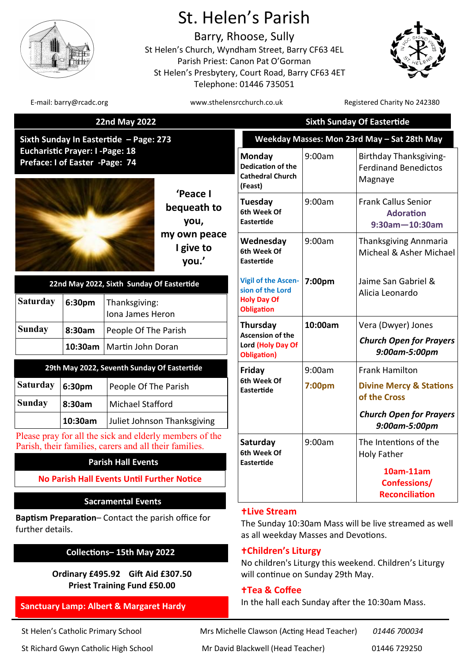

# St. Helen's Parish

Barry, Rhoose, Sully St Helen's Church, Wyndham Street, Barry CF63 4EL Parish Priest: Canon Pat O'Gorman St Helen's Presbytery, Court Road, Barry CF63 4ET Telephone: 01446 735051



E-mail: barry@rcadc.org entitled to the www.sthelensrcchurch.co.uk Registered Charity No 242380

| <b>22nd May 2022</b><br>Sixth Sunday In Eastertide - Page: 273                                                    |                                                                |                                   |                                    | <b>Sixth Sunday Of Eastertide</b><br>Weekday Masses: Mon 23rd May - Sat 28th May                                     |         |                                                                         |
|-------------------------------------------------------------------------------------------------------------------|----------------------------------------------------------------|-----------------------------------|------------------------------------|----------------------------------------------------------------------------------------------------------------------|---------|-------------------------------------------------------------------------|
|                                                                                                                   |                                                                |                                   |                                    |                                                                                                                      |         |                                                                         |
|                                                                                                                   |                                                                |                                   | 'Peace I<br>bequeath to<br>you,    | Tuesday<br>6th Week Of<br><b>Eastertide</b>                                                                          | 9:00am  | <b>Frank Callus Senior</b><br><b>Adoration</b><br>$9:30$ am $-10:30$ am |
|                                                                                                                   |                                                                |                                   | my own peace<br>I give to<br>you.' | Wednesday<br>6th Week Of<br><b>Eastertide</b>                                                                        | 9:00am  | Thanksgiving Annmaria<br>Micheal & Asher Michael                        |
| 22nd May 2022, Sixth Sunday Of Eastertide                                                                         |                                                                |                                   |                                    | <b>Vigil of the Ascen-</b><br>sion of the Lord                                                                       | 7:00pm  | Jaime San Gabriel &<br>Alicia Leonardo                                  |
| <b>Saturday</b>                                                                                                   | 6:30pm                                                         | Thanksgiving:<br>Iona James Heron |                                    | <b>Holy Day Of</b><br><b>Obligation</b>                                                                              |         |                                                                         |
| <b>Sunday</b>                                                                                                     | 8:30am<br>People Of The Parish<br>10:30am<br>Martin John Doran |                                   | Thursday                           | <b>Ascension of the</b>                                                                                              | 10:00am | Vera (Dwyer) Jones                                                      |
|                                                                                                                   |                                                                |                                   |                                    | Lord (Holy Day Of<br><b>Obligation</b> )                                                                             |         | <b>Church Open for Prayers</b><br>9:00am-5:00pm                         |
| 29th May 2022, Seventh Sunday Of Eastertide                                                                       |                                                                |                                   |                                    | Friday                                                                                                               | 9:00am  | <b>Frank Hamilton</b>                                                   |
| <b>Saturday</b>                                                                                                   | 6:30pm                                                         | People Of The Parish              |                                    | 6th Week Of<br>Eastertide                                                                                            | 7:00pm  | <b>Divine Mercy &amp; Stations</b>                                      |
| <b>Sunday</b>                                                                                                     | 8:30am                                                         | <b>Michael Stafford</b>           |                                    |                                                                                                                      |         | of the Cross                                                            |
|                                                                                                                   | 10:30am                                                        |                                   | Juliet Johnson Thanksgiving        |                                                                                                                      |         | <b>Church Open for Prayers</b><br>9:00am-5:00pm                         |
| Please pray for all the sick and elderly members of the<br>Parish, their families, carers and all their families. |                                                                |                                   |                                    | Saturday<br>6th Week Of                                                                                              | 9:00am  | The Intentions of the<br><b>Holy Father</b>                             |
| <b>Parish Hall Events</b>                                                                                         |                                                                |                                   |                                    | Eastertide                                                                                                           |         | 10am-11am                                                               |
| <b>No Parish Hall Events Until Further Notice</b>                                                                 |                                                                |                                   |                                    |                                                                                                                      |         | Confessions/                                                            |
|                                                                                                                   |                                                                | <b>Sacramental Events</b>         |                                    |                                                                                                                      |         | <b>Reconciliation</b>                                                   |
| <b>Baptism Preparation-Contact the parish office for</b><br>further details.                                      |                                                                |                                   |                                    | <b>+Live Stream</b><br>The Sunday 10:30am Mass will be live streamed as well<br>as all weekday Masses and Devotions. |         |                                                                         |
| Collections-15th May 2022                                                                                         |                                                                |                                   |                                    | <b>+Children's Liturgy</b><br>No children's Liturgy this weekend. Children's Liturgy                                 |         |                                                                         |

**Ordinary £495.92 Gift Aid £307.50 Priest Training Fund £50.00**

# **Sanctuary Lamp: Albert & Margaret Hardy**

St Richard Gwyn Catholic High School Mr David Blackwell (Head Teacher) 01446 729250

St Helen's Catholic Primary School Mrs Michelle Clawson (Acting Head Teacher) *01446 700034*

In the hall each Sunday after the 10:30am Mass.

will continue on Sunday 29th May.

**Tea & Coffee**